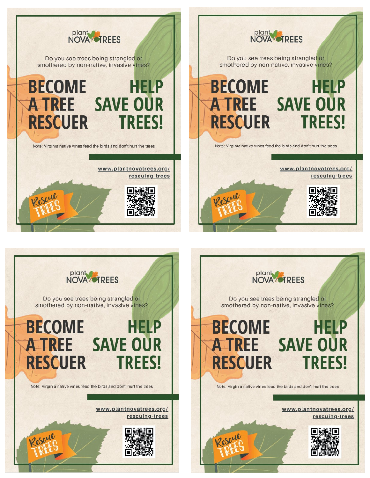